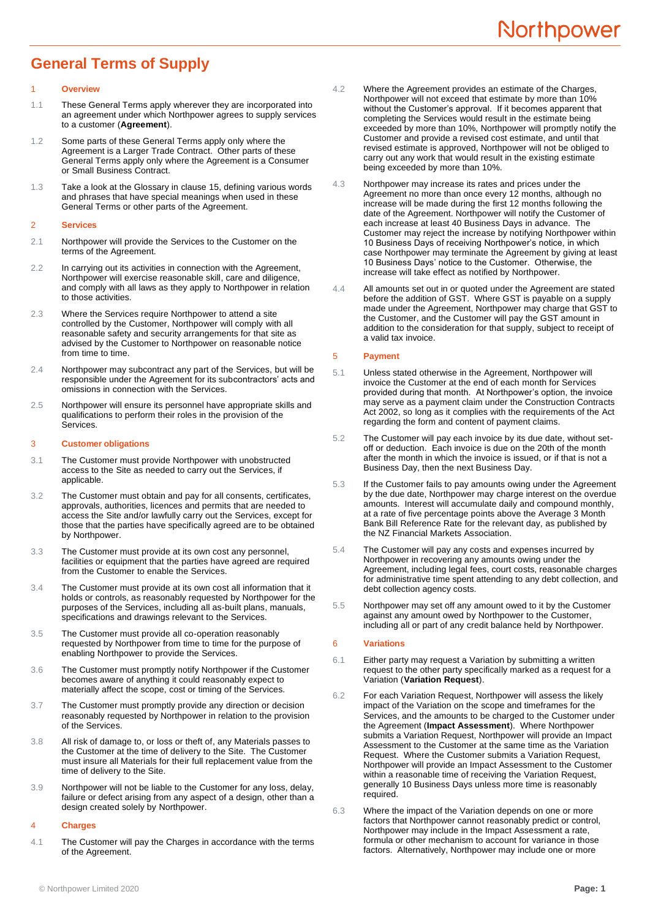# <span id="page-0-1"></span>**General Terms of Supply**

#### **Overview**

- 1.1 These General Terms apply wherever they are incorporated into an agreement under which Northpower agrees to supply services to a customer (**Agreement**).
- 1.2 Some parts of these General Terms apply only where the Agreement is a Larger Trade Contract. Other parts of these General Terms apply only where the Agreement is a Consumer or Small Business Contract.
- 1.3 Take a look at the Glossary in clause [15,](#page-3-0) defining various words and phrases that have special meanings when used in these General Terms or other parts of the Agreement.

## 2 **Services**

- 2.1 Northpower will provide the Services to the Customer on the terms of the Agreement.
- 2.2 In carrying out its activities in connection with the Agreement, Northpower will exercise reasonable skill, care and diligence, and comply with all laws as they apply to Northpower in relation to those activities.
- 2.3 Where the Services require Northpower to attend a site controlled by the Customer, Northpower will comply with all reasonable safety and security arrangements for that site as advised by the Customer to Northpower on reasonable notice from time to time.
- 2.4 Northpower may subcontract any part of the Services, but will be responsible under the Agreement for its subcontractors' acts and omissions in connection with the Services.
- 2.5 Northpower will ensure its personnel have appropriate skills and qualifications to perform their roles in the provision of the Services.

#### 3 **Customer obligations**

- <span id="page-0-0"></span>3.1 The Customer must provide Northpower with unobstructed access to the Site as needed to carry out the Services, if applicable.
- 3.2 The Customer must obtain and pay for all consents, certificates, approvals, authorities, licences and permits that are needed to access the Site and/or lawfully carry out the Services, except for those that the parties have specifically agreed are to be obtained by Northpower.
- 3.3 The Customer must provide at its own cost any personnel, facilities or equipment that the parties have agreed are required from the Customer to enable the Services.
- 3.4 The Customer must provide at its own cost all information that it holds or controls, as reasonably requested by Northpower for the purposes of the Services, including all as-built plans, manuals, specifications and drawings relevant to the Services.
- 3.5 The Customer must provide all co-operation reasonably requested by Northpower from time to time for the purpose of enabling Northpower to provide the Services.
- 3.6 The Customer must promptly notify Northpower if the Customer becomes aware of anything it could reasonably expect to materially affect the scope, cost or timing of the Services.
- 3.7 The Customer must promptly provide any direction or decision reasonably requested by Northpower in relation to the provision of the Services.
- 3.8 All risk of damage to, or loss or theft of, any Materials passes to the Customer at the time of delivery to the Site. The Customer must insure all Materials for their full replacement value from the time of delivery to the Site.
- 3.9 Northpower will not be liable to the Customer for any loss, delay, failure or defect arising from any aspect of a design, other than a design created solely by Northpower.

## 4 **Charges**

4.1 The Customer will pay the Charges in accordance with the terms of the Agreement.

- <span id="page-0-2"></span>4.2 Where the Agreement provides an estimate of the Charges, Northpower will not exceed that estimate by more than 10% without the Customer's approval. If it becomes apparent that completing the Services would result in the estimate being exceeded by more than 10%, Northpower will promptly notify the Customer and provide a revised cost estimate, and until that revised estimate is approved, Northpower will not be obliged to carry out any work that would result in the existing estimate being exceeded by more than 10%.
- 4.3 Northpower may increase its rates and prices under the Agreement no more than once every 12 months, although no increase will be made during the first 12 months following the date of the Agreement. Northpower will notify the Customer of each increase at least 40 Business Days in advance. The Customer may reject the increase by notifying Northpower within 10 Business Days of receiving Northpower's notice, in which case Northpower may terminate the Agreement by giving at least 10 Business Days' notice to the Customer. Otherwise, the increase will take effect as notified by Northpower.
- 4.4 All amounts set out in or quoted under the Agreement are stated before the addition of GST. Where GST is payable on a supply made under the Agreement, Northpower may charge that GST to the Customer, and the Customer will pay the GST amount in addition to the consideration for that supply, subject to receipt of a valid tax invoice.

# 5 **Payment**

- 5.1 Unless stated otherwise in the Agreement, Northpower will invoice the Customer at the end of each month for Services provided during that month. At Northpower's option, the invoice may serve as a payment claim under the Construction Contracts Act 2002, so long as it complies with the requirements of the Act regarding the form and content of payment claims.
- 5.2 The Customer will pay each invoice by its due date, without setoff or deduction. Each invoice is due on the 20th of the month after the month in which the invoice is issued, or if that is not a Business Day, then the next Business Day.
- 5.3 If the Customer fails to pay amounts owing under the Agreement by the due date, Northpower may charge interest on the overdue amounts. Interest will accumulate daily and compound monthly, at a rate of five percentage points above the Average 3 Month Bank Bill Reference Rate for the relevant day, as published by the NZ Financial Markets Association.
- 5.4 The Customer will pay any costs and expenses incurred by Northpower in recovering any amounts owing under the Agreement, including legal fees, court costs, reasonable charges for administrative time spent attending to any debt collection, and debt collection agency costs.
- 5.5 Northpower may set off any amount owed to it by the Customer against any amount owed by Northpower to the Customer, including all or part of any credit balance held by Northpower.

## <span id="page-0-3"></span>6 **Variations**

- 6.1 Either party may request a Variation by submitting a written request to the other party specifically marked as a request for a Variation (**Variation Request**).
- 6.2 For each Variation Request, Northpower will assess the likely impact of the Variation on the scope and timeframes for the Services, and the amounts to be charged to the Customer under the Agreement (**Impact Assessment**). Where Northpower submits a Variation Request, Northpower will provide an Impact Assessment to the Customer at the same time as the Variation Request. Where the Customer submits a Variation Request, Northpower will provide an Impact Assessment to the Customer within a reasonable time of receiving the Variation Request, generally 10 Business Days unless more time is reasonably required.
- 6.3 Where the impact of the Variation depends on one or more factors that Northpower cannot reasonably predict or control, Northpower may include in the Impact Assessment a rate, formula or other mechanism to account for variance in those factors. Alternatively, Northpower may include one or more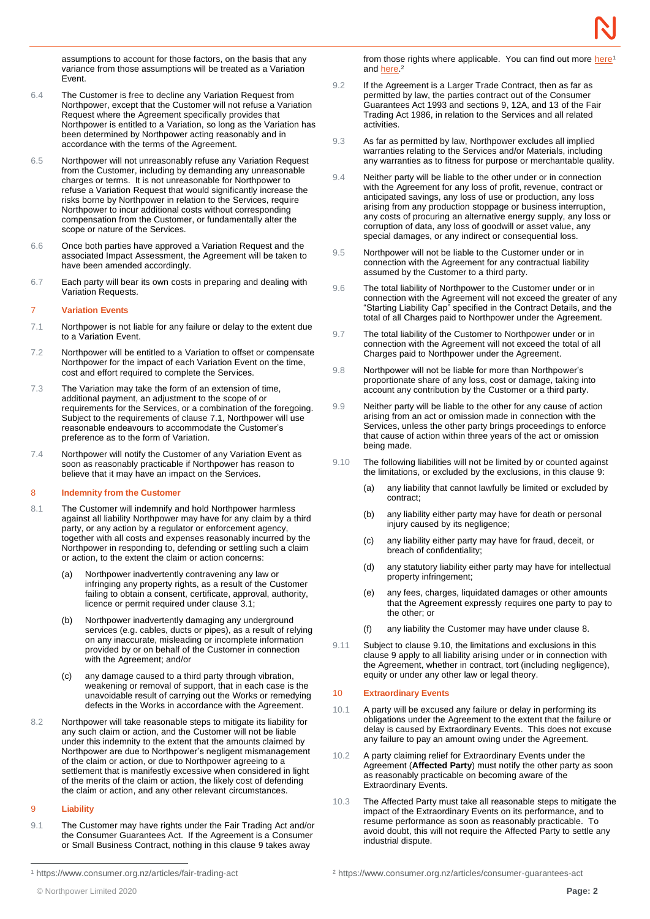assumptions to account for those factors, on the basis that any variance from those assumptions will be treated as a Variation Event.

- 6.4 The Customer is free to decline any Variation Request from Northpower, except that the Customer will not refuse a Variation Request where the Agreement specifically provides that Northpower is entitled to a Variation, so long as the Variation has been determined by Northpower acting reasonably and in accordance with the terms of the Agreement.
- 6.5 Northpower will not unreasonably refuse any Variation Request from the Customer, including by demanding any unreasonable charges or terms. It is not unreasonable for Northpower to refuse a Variation Request that would significantly increase the risks borne by Northpower in relation to the Services, require Northpower to incur additional costs without corresponding compensation from the Customer, or fundamentally alter the scope or nature of the Services.
- 6.6 Once both parties have approved a Variation Request and the associated Impact Assessment, the Agreement will be taken to have been amended accordingly.
- 6.7 Each party will bear its own costs in preparing and dealing with Variation Requests.

## <span id="page-1-4"></span>7 **Variation Events**

- <span id="page-1-0"></span>7.1 Northpower is not liable for any failure or delay to the extent due to a Variation Event.
- 7.2 Northpower will be entitled to a Variation to offset or compensate Northpower for the impact of each Variation Event on the time, cost and effort required to complete the Services.
- 7.3 The Variation may take the form of an extension of time, additional payment, an adjustment to the scope of or requirements for the Services, or a combination of the foregoing. Subject to the requirements of clause [7.1,](#page-1-0) Northpower will use reasonable endeavours to accommodate the Customer's preference as to the form of Variation.
- 7.4 Northpower will notify the Customer of any Variation Event as soon as reasonably practicable if Northpower has reason to believe that it may have an impact on the Services.

#### <span id="page-1-2"></span>8 **Indemnity from the Customer**

- 8.1 The Customer will indemnify and hold Northpower harmless against all liability Northpower may have for any claim by a third party, or any action by a regulator or enforcement agency, together with all costs and expenses reasonably incurred by the Northpower in responding to, defending or settling such a claim or action, to the extent the claim or action concerns:
	- (a) Northpower inadvertently contravening any law or infringing any property rights, as a result of the Customer failing to obtain a consent, certificate, approval, authority, licence or permit required under clause [3.1;](#page-0-0)
	- (b) Northpower inadvertently damaging any underground services (e.g. cables, ducts or pipes), as a result of relying on any inaccurate, misleading or incomplete information provided by or on behalf of the Customer in connection with the Agreement; and/or
	- (c) any damage caused to a third party through vibration, weakening or removal of support, that in each case is the unavoidable result of carrying out the Works or remedying defects in the Works in accordance with the Agreement.
- 8.2 Northpower will take reasonable steps to mitigate its liability for any such claim or action, and the Customer will not be liable under this indemnity to the extent that the amounts claimed by Northpower are due to Northpower's negligent mismanagement of the claim or action, or due to Northpower agreeing to a settlement that is manifestly excessive when considered in light of the merits of the claim or action, the likely cost of defending the claim or action, and any other relevant circumstances.

## <span id="page-1-1"></span>9 **Liability**

9.1 The Customer may have rights under the Fair Trading Act and/or the Consumer Guarantees Act. If the Agreement is a Consumer or Small Business Contract, nothing in this clause [9](#page-1-1) takes away

from those rights where applicable. You can find out more [here](https://www.consumer.org.nz/articles/fair-trading-act)<sup>1</sup> and [here.](https://www.consumer.org.nz/articles/consumer-guarantees-act)<sup>2</sup>

- 9.2 If the Agreement is a Larger Trade Contract, then as far as permitted by law, the parties contract out of the Consumer Guarantees Act 1993 and sections 9, 12A, and 13 of the Fair Trading Act 1986, in relation to the Services and all related activities.
- 9.3 As far as permitted by law, Northpower excludes all implied warranties relating to the Services and/or Materials, including any warranties as to fitness for purpose or merchantable quality.
- 9.4 Neither party will be liable to the other under or in connection with the Agreement for any loss of profit, revenue, contract or anticipated savings, any loss of use or production, any loss arising from any production stoppage or business interruption, any costs of procuring an alternative energy supply, any loss or corruption of data, any loss of goodwill or asset value, any special damages, or any indirect or consequential loss.
- 9.5 Northpower will not be liable to the Customer under or in connection with the Agreement for any contractual liability assumed by the Customer to a third party.
- 9.6 The total liability of Northpower to the Customer under or in connection with the Agreement will not exceed the greater of any "Starting Liability Cap" specified in the Contract Details, and the total of all Charges paid to Northpower under the Agreement.
- 9.7 The total liability of the Customer to Northpower under or in connection with the Agreement will not exceed the total of all Charges paid to Northpower under the Agreement.
- 9.8 Northpower will not be liable for more than Northpower's proportionate share of any loss, cost or damage, taking into account any contribution by the Customer or a third party.
- 9.9 Neither party will be liable to the other for any cause of action arising from an act or omission made in connection with the Services, unless the other party brings proceedings to enforce that cause of action within three years of the act or omission being made.
- <span id="page-1-3"></span>9.10 The following liabilities will not be limited by or counted against the limitations, or excluded by the exclusions, in this clause [9:](#page-1-1)
	- (a) any liability that cannot lawfully be limited or excluded by contract;
	- (b) any liability either party may have for death or personal injury caused by its negligence;
	- (c) any liability either party may have for fraud, deceit, or breach of confidentiality;
	- (d) any statutory liability either party may have for intellectual property infringement;
	- (e) any fees, charges, liquidated damages or other amounts that the Agreement expressly requires one party to pay to the other; or
	- (f) any liability the Customer may have under clause [8.](#page-1-2)
- 9.11 Subject to clause [9.10,](#page-1-3) the limitations and exclusions in this clause [9](#page-1-1) apply to all liability arising under or in connection with the Agreement, whether in contract, tort (including negligence), equity or under any other law or legal theory.

#### <span id="page-1-5"></span>10 **Extraordinary Events**

- 10.1 A party will be excused any failure or delay in performing its obligations under the Agreement to the extent that the failure or delay is caused by Extraordinary Events. This does not excuse any failure to pay an amount owing under the Agreement.
- 10.2 A party claiming relief for Extraordinary Events under the Agreement (**Affected Party**) must notify the other party as soon as reasonably practicable on becoming aware of the Extraordinary Events.
- 10.3 The Affected Party must take all reasonable steps to mitigate the impact of the Extraordinary Events on its performance, and to resume performance as soon as reasonably practicable. To avoid doubt, this will not require the Affected Party to settle any industrial dispute.

<sup>1</sup> https://www.consumer.org.nz/articles/fair-trading-act

<sup>©</sup> Northpower Limited 2020 **Page: 2**

<sup>2</sup> https://www.consumer.org.nz/articles/consumer-guarantees-act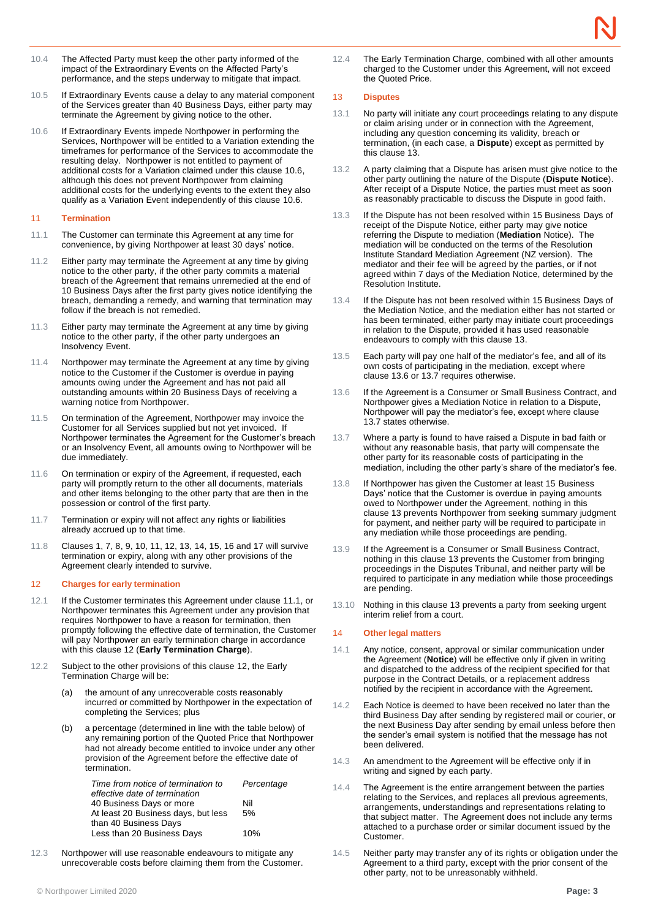- 10.4 The Affected Party must keep the other party informed of the impact of the Extraordinary Events on the Affected Party's performance, and the steps underway to mitigate that impact.
- 10.5 If Extraordinary Events cause a delay to any material component of the Services greater than 40 Business Days, either party may terminate the Agreement by giving notice to the other.
- <span id="page-2-0"></span>10.6 If Extraordinary Events impede Northpower in performing the Services, Northpower will be entitled to a Variation extending the timeframes for performance of the Services to accommodate the resulting delay. Northpower is not entitled to payment of additional costs for a Variation claimed under this clause [10.6,](#page-2-0)  although this does not prevent Northpower from claiming additional costs for the underlying events to the extent they also qualify as a Variation Event independently of this clause [10.6.](#page-2-0)

#### <span id="page-2-1"></span>11 **Termination**

- <span id="page-2-5"></span>11.1 The Customer can terminate this Agreement at any time for convenience, by giving Northpower at least 30 days' notice.
- 11.2 Either party may terminate the Agreement at any time by giving notice to the other party, if the other party commits a material breach of the Agreement that remains unremedied at the end of 10 Business Days after the first party gives notice identifying the breach, demanding a remedy, and warning that termination may follow if the breach is not remedied.
- 11.3 Either party may terminate the Agreement at any time by giving notice to the other party, if the other party undergoes an Insolvency Event.
- 11.4 Northpower may terminate the Agreement at any time by giving notice to the Customer if the Customer is overdue in paying amounts owing under the Agreement and has not paid all outstanding amounts within 20 Business Days of receiving a warning notice from Northpower.
- 11.5 On termination of the Agreement, Northpower may invoice the Customer for all Services supplied but not yet invoiced. If Northpower terminates the Agreement for the Customer's breach or an Insolvency Event, all amounts owing to Northpower will be due immediately.
- 11.6 On termination or expiry of the Agreement, if requested, each party will promptly return to the other all documents, materials and other items belonging to the other party that are then in the possession or control of the first party.
- 11.7 Termination or expiry will not affect any rights or liabilities already accrued up to that time.
- 11.8 Clauses [1,](#page-0-1) [7,](#page-1-4) [8,](#page-1-2) [9,](#page-1-1) [10,](#page-1-5) [11,](#page-2-1) [12,](#page-2-2) [13,](#page-2-3) [14,](#page-2-4) [15,](#page-3-0) [16](#page-3-1) an[d 17](#page-3-2) will survive termination or expiry, along with any other provisions of the Agreement clearly intended to survive.

#### <span id="page-2-2"></span>12 **Charges for early termination**

- 12.1 If the Customer terminates this Agreement under clause [11.1,](#page-2-5) or Northpower terminates this Agreement under any provision that requires Northpower to have a reason for termination, then promptly following the effective date of termination, the Customer will pay Northpower an early termination charge in accordance with this clause [12](#page-2-2) (**Early Termination Charge**).
- 12.2 Subject to the other provisions of this clause [12,](#page-2-2) the Early Termination Charge will be:
	- (a) the amount of any unrecoverable costs reasonably incurred or committed by Northpower in the expectation of completing the Services; plus
	- (b) a percentage (determined in line with the table below) of any remaining portion of the Quoted Price that Northpower had not already become entitled to invoice under any other provision of the Agreement before the effective date of termination.

| Time from notice of termination to  | Percentage |
|-------------------------------------|------------|
| effective date of termination       |            |
| 40 Business Days or more            | Nil        |
| At least 20 Business days, but less | 5%         |
| than 40 Business Days               |            |
| Less than 20 Business Days          | 10%        |
|                                     |            |

12.3 Northpower will use reasonable endeavours to mitigate any unrecoverable costs before claiming them from the Customer. 12.4 The Early Termination Charge, combined with all other amounts charged to the Customer under this Agreement, will not exceed the Quoted Price.

#### <span id="page-2-3"></span>13 **Disputes**

- 13.1 No party will initiate any court proceedings relating to any dispute or claim arising under or in connection with the Agreement, including any question concerning its validity, breach or termination, (in each case, a **Dispute**) except as permitted by this clause [13.](#page-2-3)
- 13.2 A party claiming that a Dispute has arisen must give notice to the other party outlining the nature of the Dispute (**Dispute Notice**). After receipt of a Dispute Notice, the parties must meet as soon as reasonably practicable to discuss the Dispute in good faith.
- 13.3 If the Dispute has not been resolved within 15 Business Days of receipt of the Dispute Notice, either party may give notice referring the Dispute to mediation (**Mediation** Notice). The mediation will be conducted on the terms of the Resolution Institute Standard Mediation Agreement (NZ version). The mediator and their fee will be agreed by the parties, or if not agreed within 7 days of the Mediation Notice, determined by the Resolution Institute.
- 13.4 If the Dispute has not been resolved within 15 Business Days of the Mediation Notice, and the mediation either has not started or has been terminated, either party may initiate court proceedings in relation to the Dispute, provided it has used reasonable endeavours to comply with this clause [13.](#page-2-3)
- 13.5 Each party will pay one half of the mediator's fee, and all of its own costs of participating in the mediation, except where clause [13.6](#page-2-6) or [13.7](#page-2-7) requires otherwise.
- <span id="page-2-6"></span>13.6 If the Agreement is a Consumer or Small Business Contract, and Northpower gives a Mediation Notice in relation to a Dispute, Northpower will pay the mediator's fee, except where clause [13.7](#page-2-7) states otherwise.
- <span id="page-2-7"></span>13.7 Where a party is found to have raised a Dispute in bad faith or without any reasonable basis, that party will compensate the other party for its reasonable costs of participating in the mediation, including the other party's share of the mediator's fee.
- 13.8 If Northpower has given the Customer at least 15 Business Days' notice that the Customer is overdue in paying amounts owed to Northpower under the Agreement, nothing in this clause [13](#page-2-3) prevents Northpower from seeking summary judgment for payment, and neither party will be required to participate in any mediation while those proceedings are pending.
- 13.9 If the Agreement is a Consumer or Small Business Contract, nothing in this clause [13](#page-2-3) prevents the Customer from bringing proceedings in the Disputes Tribunal, and neither party will be required to participate in any mediation while those proceedings are pending.
- 13.10 Nothing in this clause [13](#page-2-3) prevents a party from seeking urgent interim relief from a court.

## <span id="page-2-4"></span>14 **Other legal matters**

- 14.1 Any notice, consent, approval or similar communication under the Agreement (**Notice**) will be effective only if given in writing and dispatched to the address of the recipient specified for that purpose in the Contract Details, or a replacement address notified by the recipient in accordance with the Agreement.
- 14.2 Each Notice is deemed to have been received no later than the third Business Day after sending by registered mail or courier, or the next Business Day after sending by email unless before then the sender's email system is notified that the message has not been delivered.
- 14.3 An amendment to the Agreement will be effective only if in writing and signed by each party.
- 14.4 The Agreement is the entire arrangement between the parties relating to the Services, and replaces all previous agreements, arrangements, understandings and representations relating to that subject matter. The Agreement does not include any terms attached to a purchase order or similar document issued by the Customer.
- 14.5 Neither party may transfer any of its rights or obligation under the Agreement to a third party, except with the prior consent of the other party, not to be unreasonably withheld.